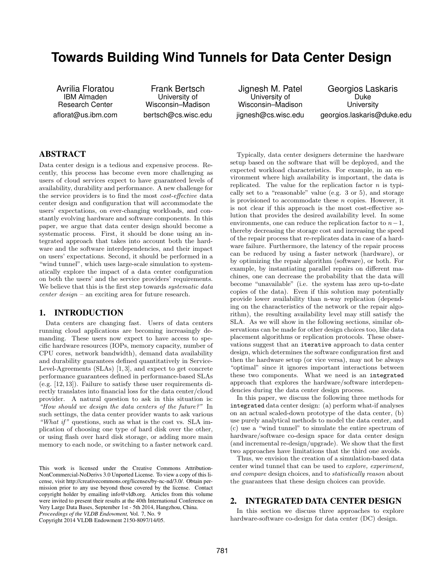# **Towards Building Wind Tunnels for Data Center Design**

Avrilia Floratou IBM Almaden Research Center aflorat@us.ibm.com

Frank Bertsch University of Wisconsin–Madison bertsch@cs.wisc.edu

Jignesh M. Patel University of Wisconsin–Madison jignesh@cs.wisc.edu

Georgios Laskaris Duke **University** georgios.laskaris@duke.edu

# ABSTRACT

Data center design is a tedious and expensive process. Recently, this process has become even more challenging as users of cloud services expect to have guaranteed levels of availability, durability and performance. A new challenge for the service providers is to find the most cost-effective data center design and configuration that will accommodate the users' expectations, on ever-changing workloads, and constantly evolving hardware and software components. In this paper, we argue that data center design should become a systematic process. First, it should be done using an integrated approach that takes into account both the hardware and the software interdependencies, and their impact on users' expectations. Second, it should be performed in a "wind tunnel", which uses large-scale simulation to systematically explore the impact of a data center configuration on both the users' and the service providers' requirements. We believe that this is the first step towards systematic data center design – an exciting area for future research.

# 1. INTRODUCTION

Data centers are changing fast. Users of data centers running cloud applications are becoming increasingly demanding. These users now expect to have access to specific hardware resources (IOPs, memory capacity, number of CPU cores, network bandwidth), demand data availability and durability guarantees defined quantitatively in Service-Level-Agreements (SLAs) [1, 3], and expect to get concrete performance guarantees defined in performance-based SLAs (e.g. [12, 13]). Failure to satisfy these user requirements directly translates into financial loss for the data center/cloud provider. A natural question to ask in this situation is: "How should we design the data centers of the future?" In such settings, the data center provider wants to ask various "What if" questions, such as what is the cost vs. SLA implication of choosing one type of hard disk over the other, or using flash over hard disk storage, or adding more main memory to each node, or switching to a faster network card.

Copyright 2014 VLDB Endowment 2150-8097/14/05.

Typically, data center designers determine the hardware setup based on the software that will be deployed, and the expected workload characteristics. For example, in an environment where high availability is important, the data is replicated. The value for the replication factor  $n$  is typically set to a "reasonable" value (e.g. 3 or 5), and storage is provisioned to accommodate these  $n$  copies. However, it is not clear if this approach is the most cost-effective solution that provides the desired availability level. In some environments, one can reduce the replication factor to  $n-1$ , thereby decreasing the storage cost and increasing the speed of the repair process that re-replicates data in case of a hardware failure. Furthermore, the latency of the repair process can be reduced by using a faster network (hardware), or by optimizing the repair algorithm (software), or both. For example, by instantiating parallel repairs on different machines, one can decrease the probability that the data will become "unavailable" (i.e. the system has zero up-to-date copies of the data). Even if this solution may potentially provide lower availability than n-way replication (depending on the characteristics of the network or the repair algorithm), the resulting availability level may still satisfy the SLA. As we will show in the following sections, similar observations can be made for other design choices too, like data placement algorithms or replication protocols. These observations suggest that an iterative approach to data center design, which determines the software configuration first and then the hardware setup (or vice versa), may not be always "optimal" since it ignores important interactions between these two components. What we need is an integrated approach that explores the hardware/software interdependencies during the data center design process.

In this paper, we discuss the following three methods for integrated data center design: (a) perform what-if analyses on an actual scaled-down prototype of the data center, (b) use purely analytical methods to model the data center, and (c) use a "wind tunnel" to simulate the entire spectrum of hardware/software co-design space for data center design (and incremental re-design/upgrade). We show that the first two approaches have limitations that the third one avoids.

Thus, we envision the creation of a simulation-based data center wind tunnel that can be used to explore, experiment, and compare design choices, and to statistically reason about the guarantees that these design choices can provide.

# 2. INTEGRATED DATA CENTER DESIGN

In this section we discuss three approaches to explore hardware-software co-design for data center (DC) design.

This work is licensed under the Creative Commons Attribution-NonCommercial-NoDerivs 3.0 Unported License. To view a copy of this license, visit http://creativecommons.org/licenses/by-nc-nd/3.0/. Obtain permission prior to any use beyond those covered by the license. Contact copyright holder by emailing info@vldb.org. Articles from this volume were invited to present their results at the 40th International Conference on Very Large Data Bases, September 1st - 5th 2014, Hangzhou, China. *Proceedings of the VLDB Endowment,* Vol. 7, No. 9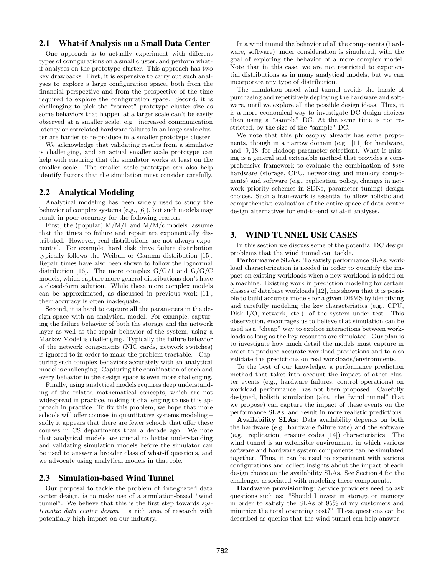# 2.1 What-if Analysis on a Small Data Center

One approach is to actually experiment with different types of configurations on a small cluster, and perform whatif analyses on the prototype cluster. This approach has two key drawbacks. First, it is expensive to carry out such analyses to explore a large configuration space, both from the financial perspective and from the perspective of the time required to explore the configuration space. Second, it is challenging to pick the "correct" prototype cluster size as some behaviors that happen at a larger scale can't be easily observed at a smaller scale; e.g., increased communication latency or correlated hardware failures in an large scale cluster are harder to re-produce in a smaller prototype cluster.

We acknowledge that validating results from a simulator is challenging, and an actual smaller scale prototype can help with ensuring that the simulator works at least on the smaller scale. The smaller scale prototype can also help identify factors that the simulation must consider carefully.

#### 2.2 Analytical Modeling

Analytical modeling has been widely used to study the behavior of complex systems (e.g., [6]), but such models may result in poor accuracy for the following reasons.

First, the (popular)  $M/M/1$  and  $M/M/c$  models assume that the times to failure and repair are exponentially distributed. However, real distributions are not always exponential. For example, hard disk drive failure distribution typically follows the Weibull or Gamma distribution [15]. Repair times have also been shown to follow the lognormal distribution [16]. The more complex  $G/G/1$  and  $G/G/C$ models, which capture more general distributions don't have a closed-form solution. While these more complex models can be approximated, as discussed in previous work [11], their accuracy is often inadequate.

Second, it is hard to capture all the parameters in the design space with an analytical model. For example, capturing the failure behavior of both the storage and the network layer as well as the repair behavior of the system, using a Markov Model is challenging. Typically the failure behavior of the network components (NIC cards, network switches) is ignored to in order to make the problem tractable. Capturing such complex behaviors accurately with an analytical model is challenging. Capturing the combination of each and every behavior in the design space is even more challenging.

Finally, using analytical models requires deep understanding of the related mathematical concepts, which are not widespread in practice, making it challenging to use this approach in practice. To fix this problem, we hope that more schools will offer courses in quantitative systems modeling – sadly it appears that there are fewer schools that offer these courses in CS departments than a decade ago. We note that analytical models are crucial to better understanding and validating simulation models before the simulator can be used to answer a broader class of what-if questions, and we advocate using analytical models in that role.

#### 2.3 Simulation-based Wind Tunnel

Our proposal to tackle the problem of integrated data center design, is to make use of a simulation-based "wind tunnel". We believe that this is the first step towards systematic data center design – a rich area of research with potentially high-impact on our industry.

In a wind tunnel the behavior of all the components (hardware, software) under consideration is simulated, with the goal of exploring the behavior of a more complex model. Note that in this case, we are not restricted to exponential distributions as in many analytical models, but we can incorporate any type of distribution.

The simulation-based wind tunnel avoids the hassle of purchasing and repetitively deploying the hardware and software, until we explore all the possible design ideas. Thus, it is a more economical way to investigate DC design choices than using a "sample" DC. At the same time is not restricted, by the size of the "sample" DC.

We note that this philosophy already has some proponents, though in a narrow domain (e.g., [11] for hardware, and [9, 18] for Hadoop parameter selection). What is missing is a general and extensible method that provides a comprehensive framework to evaluate the combination of both hardware (storage, CPU, networking and memory components) and software (e.g., replication policy, changes in network priority schemes in SDNs, parameter tuning) design choices. Such a framework is essential to allow holistic and comprehensive evaluation of the entire space of data center design alternatives for end-to-end what-if analyses.

#### 3. WIND TUNNEL USE CASES

In this section we discuss some of the potential DC design problems that the wind tunnel can tackle.

Performance SLAs: To satisfy performance SLAs, workload characterization is needed in order to quantify the impact on existing workloads when a new workload is added on a machine. Existing work in prediction modeling for certain classes of database workloads [12], has shown that it is possible to build accurate models for a given DBMS by identifying and carefully modeling the key characteristics (e.g., CPU, Disk I/O, network, etc.) of the system under test. This observation, encourages us to believe that simulation can be used as a "cheap" way to explore interactions between workloads as long as the key resources are simulated. Our plan is to investigate how much detail the models must capture in order to produce accurate workload predictions and to also validate the predictions on real workloads/environments.

To the best of our knowledge, a performance prediction method that takes into account the impact of other cluster events (e.g., hardware failures, control operations) on workload performance, has not been proposed. Carefully designed, holistic simulation (aka. the "wind tunnel" that we propose) can capture the impact of these events on the performance SLAs, and result in more realistic predictions.

Availability SLAs: Data availability depends on both the hardware (e.g. hardware failure rate) and the software (e.g. replication, erasure codes [14]) characteristics. The wind tunnel is an extensible environment in which various software and hardware system components can be simulated together. Thus, it can be used to experiment with various configurations and collect insights about the impact of each design choice on the availability SLAs. See Section 4 for the challenges associated with modeling these components.

Hardware provisioning: Service providers need to ask questions such as: "Should I invest in storage or memory in order to satisfy the SLAs of 95% of my customers and minimize the total operating cost?" These questions can be described as queries that the wind tunnel can help answer.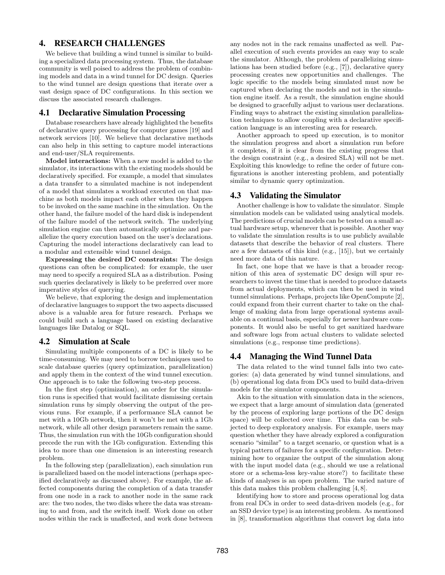# 4. RESEARCH CHALLENGES

We believe that building a wind tunnel is similar to building a specialized data processing system. Thus, the database community is well poised to address the problem of combining models and data in a wind tunnel for DC design. Queries to the wind tunnel are design questions that iterate over a vast design space of DC configurations. In this section we discuss the associated research challenges.

#### 4.1 Declarative Simulation Processing

Database researchers have already highlighted the benefits of declarative query processing for computer games [19] and network services [10]. We believe that declarative methods can also help in this setting to capture model interactions and end-user/SLA requirements.

Model interactions: When a new model is added to the simulator, its interactions with the existing models should be declaratively specified. For example, a model that simulates a data transfer to a simulated machine is not independent of a model that simulates a workload executed on that machine as both models impact each other when they happen to be invoked on the same machine in the simulation. On the other hand, the failure model of the hard disk is independent of the failure model of the network switch. The underlying simulation engine can then automatically optimize and parallelize the query execution based on the user's declarations. Capturing the model interactions declaratively can lead to a modular and extensible wind tunnel design.

Expressing the desired DC constraints: The design questions can often be complicated: for example, the user may need to specify a required SLA as a distribution. Posing such queries declaratively is likely to be preferred over more imperative styles of querying.

We believe, that exploring the design and implementation of declarative languages to support the two aspects discussed above is a valuable area for future research. Perhaps we could build such a language based on existing declarative languages like Datalog or SQL.

#### 4.2 Simulation at Scale

Simulating multiple components of a DC is likely to be time-consuming. We may need to borrow techniques used to scale database queries (query optimization, parallelization) and apply them in the context of the wind tunnel execution. One approach is to take the following two-step process.

In the first step (optimization), an order for the simulation runs is specified that would facilitate dismissing certain simulation runs by simply observing the output of the previous runs. For example, if a performance SLA cannot be met with a 10Gb network, then it won't be met with a 1Gb network, while all other design parameters remain the same. Thus, the simulation run with the 10Gb configuration should precede the run with the 1Gb configuration. Extending this idea to more than one dimension is an interesting research problem.

In the following step (parallelization), each simulation run is parallelized based on the model interactions (perhaps specified declaratively as discussed above). For example, the affected components during the completion of a data transfer from one node in a rack to another node in the same rack are: the two nodes, the two disks where the data was streaming to and from, and the switch itself. Work done on other nodes within the rack is unaffected, and work done between any nodes not in the rack remains unaffected as well. Parallel execution of such events provides an easy way to scale the simulator. Although, the problem of parallelizing simulations has been studied before (e.g., [7]), declarative query processing creates new opportunities and challenges. The logic specific to the models being simulated must now be captured when declaring the models and not in the simulation engine itself. As a result, the simulation engine should be designed to gracefully adjust to various user declarations. Finding ways to abstract the existing simulation parallelization techniques to allow coupling with a declarative specification language is an interesting area for research.

Another approach to speed up execution, is to monitor the simulation progress and abort a simulation run before it completes, if it is clear from the existing progress that the design constraint (e.g., a desired SLA) will not be met. Exploiting this knowledge to refine the order of future configurations is another interesting problem, and potentially similar to dynamic query optimization.

# 4.3 Validating the Simulator

Another challenge is how to validate the simulator. Simple simulation models can be validated using analytical models. The predictions of crucial models can be tested on a small actual hardware setup, whenever that is possible. Another way to validate the simulation results is to use publicly available datasets that describe the behavior of real clusters. There are a few datasets of this kind (e.g., [15]), but we certainly need more data of this nature.

In fact, one hope that we have is that a broader recognition of this area of systematic DC design will spur researchers to invest the time that is needed to produce datasets from actual deployments, which can then be used in wind tunnel simulations. Perhaps, projects like OpenCompute [2], could expand from their current charter to take on the challenge of making data from large operational systems available on a continual basis, especially for newer hardware components. It would also be useful to get sanitized hardware and software logs from actual clusters to validate selected simulations (e.g., response time predictions).

#### 4.4 Managing the Wind Tunnel Data

The data related to the wind tunnel falls into two categories: (a) data generated by wind tunnel simulations, and (b) operational log data from DCs used to build data-driven models for the simulator components.

Akin to the situation with simulation data in the sciences, we expect that a large amount of simulation data (generated by the process of exploring large portions of the DC design space) will be collected over time. This data can be subjected to deep exploratory analysis. For example, users may question whether they have already explored a configuration scenario "similar" to a target scenario, or question what is a typical pattern of failures for a specific configuration. Determining how to organize the output of the simulation along with the input model data (e.g., should we use a relational store or a schema-less key-value store?) to facilitate these kinds of analyses is an open problem. The varied nature of this data makes this problem challenging [4, 8].

Identifying how to store and process operational log data from real DCs in order to seed data-driven models (e.g., for an SSD device type) is an interesting problem. As mentioned in [8], transformation algorithms that convert log data into